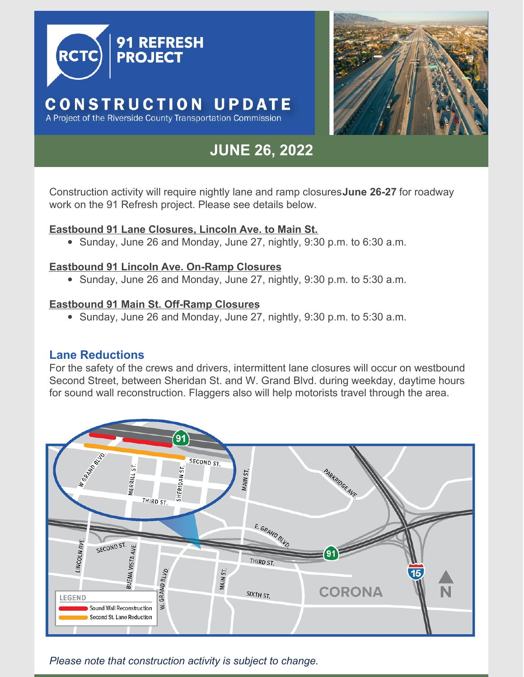



# **JUNE 26, 2022**

Construction activity will require nightly lane and ramp closures**June 26-27** for roadway work on the 91 Refresh project. Please see details below.

#### **Eastbound 91 Lane Closures, Lincoln Ave. to Main St.**

• Sunday, June 26 and Monday, June 27, nightly, 9:30 p.m. to 6:30 a.m.

#### **Eastbound 91 Lincoln Ave. On-Ramp Closures**

• Sunday, June 26 and Monday, June 27, nightly, 9:30 p.m. to 5:30 a.m.

#### **Eastbound 91 Main St. Off-Ramp Closures**

• Sunday, June 26 and Monday, June 27, nightly,  $9:30$  p.m. to  $5:30$  a.m.

#### **Lane Reductions**

For the safety of the crews and drivers, intermittent lane closures will occur on westbound Second Street, between Sheridan St. and W. Grand Blvd. during weekday, daytime hours for sound wall reconstruction. Flaggers also will help motorists travel through the area.



*Please note that construction activity is subject to change.*